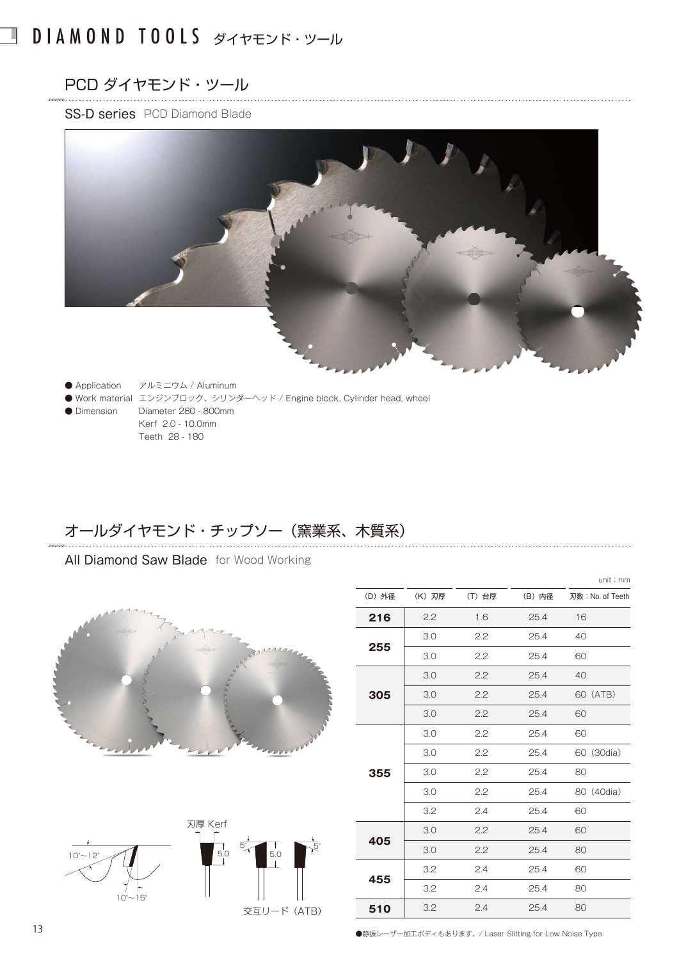## DIAMOND TOOLS ダイヤモンド・ツール

# PCD ダイヤモンド・ツール

I

#### SS-D series PCD Diamond Blade



- Application アルミニウム / Aluminum
- Work material エンジンブロック、シリンダーヘッド / Engine block, Cylinder head, wheel ● Dimension Diameter 280 - 800mm
	- Kerf 2.0 10.0mm Teeth 28 - 180

### オールダイヤモンド・チップソー(窯業系、木質系)

#### All Diamond Saw Blade for Wood Working





|        |        |        |        | unit: mm         |
|--------|--------|--------|--------|------------------|
| (D) 外径 | (K) 刃厚 | (T) 台厚 | (B) 内径 | 刃数: No. of Teeth |
| 216    | 2.2    | 1.6    | 25.4   | 16               |
| 255    | 3.0    | 2.2    | 25.4   | 40               |
|        | 3.0    | 2.2    | 25.4   | 60               |
| 305    | 3.0    | 2.2    | 25.4   | 40               |
|        | 3.0    | 2.2    | 25.4   | 60 (ATB)         |
|        | 3.0    | 2.2    | 25.4   | 60               |
| 355    | 3.0    | 2.2    | 25.4   | 60               |
|        | 3.0    | 2.2    | 25.4   | 60 (30dia)       |
|        | 3.0    | 2.2    | 25.4   | 80               |
|        | 3.0    | 2.2    | 25.4   | 80 (40dia)       |
|        | 3.2    | 2.4    | 25.4   | 60               |
| 405    | 3.0    | 2.2    | 25.4   | 60               |
|        | 3.0    | 2.2    | 25.4   | 80               |
| 455    | 3.2    | 2.4    | 25.4   | 60               |
|        | 3.2    | 2.4    | 25.4   | 80               |
| 510    | 3.2    | 2.4    | 25.4   | 80               |

●静振レーザー加工ボディもあります。/ Laser Slitting for Low Noise Type